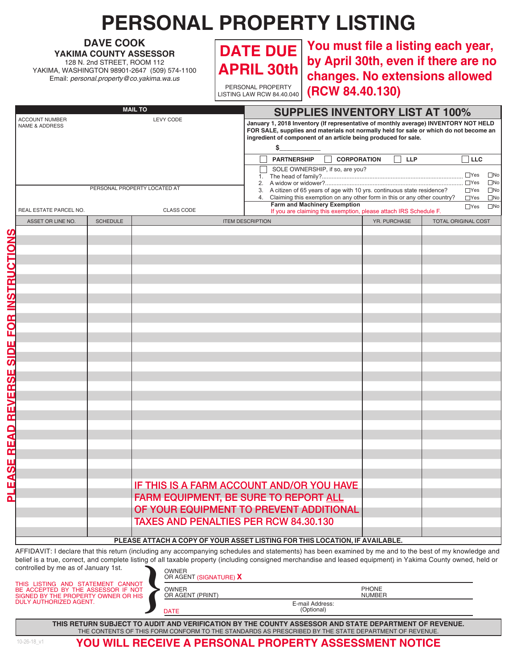## **PERSONAL PROPERTY LISTING**

**DAVE COOK YAKIMA COUNTY ASSESSOR** 128 N. 2nd STREET, ROOM 112 YAKIMA, WASHINGTON 98901-2647 (509) 574-1100 Email: *personal.property@co.yakima.wa.us*



PERSONAL PROPERTY LISTING LAW RCW 84.40.040

**You must file a listing each year, DATE DUE by April 30th, even if there are no changes. No extensions allowed (RCW 84.40.130)**

| <b>MAIL TO</b>                                                         |                 |                                                                                                                                                                                                                                                      | <b>SUPPLIES INVENTORY LIST AT 100%</b>                                                                                                                                                                                                                                                              |              |                            |
|------------------------------------------------------------------------|-----------------|------------------------------------------------------------------------------------------------------------------------------------------------------------------------------------------------------------------------------------------------------|-----------------------------------------------------------------------------------------------------------------------------------------------------------------------------------------------------------------------------------------------------------------------------------------------------|--------------|----------------------------|
| <b>ACCOUNT NUMBER</b><br><b>LEVY CODE</b><br><b>NAME &amp; ADDRESS</b> |                 | January 1, 2018 Inventory (If representative of monthly average) INVENTORY NOT HELD<br>FOR SALE, supplies and materials not normally held for sale or which do not become an<br>ingredient of component of an article being produced for sale.<br>\$ |                                                                                                                                                                                                                                                                                                     |              |                            |
|                                                                        |                 |                                                                                                                                                                                                                                                      | <b>PARTNERSHIP</b><br><b>CORPORATION</b><br><b>LLP</b><br>∃ LLC                                                                                                                                                                                                                                     |              |                            |
| PERSONAL PROPERTY LOCATED AT                                           |                 |                                                                                                                                                                                                                                                      | SOLE OWNERSHIP, if so, are you?<br>$\Box$ Yes<br>$\square$ No<br>$\square$ No<br>3. A citizen of 65 years of age with 10 yrs. continuous state residence?<br>$\square$ No<br>$\Box$ Yes<br>4. Claiming this exemption on any other form in this or any other country?<br>$\Box$ Yes<br>$\square$ No |              |                            |
| REAL ESTATE PARCEL NO.                                                 |                 | <b>CLASS CODE</b>                                                                                                                                                                                                                                    | <b>Farm and Machinery Exemption</b><br>If you are claiming this exemption, please attach IRS Schedule F.                                                                                                                                                                                            |              | $\square$ No<br>$\Box$ Yes |
| ASSET OR LINE NO.                                                      | <b>SCHEDULE</b> |                                                                                                                                                                                                                                                      | <b>ITEM DESCRIPTION</b>                                                                                                                                                                                                                                                                             | YR. PURCHASE | <b>TOTAL ORIGINAL COST</b> |
|                                                                        |                 | FARM EQUIPMENT, BE SURE TO REPORT ALL<br><b>TAXES AND PENALTIES PER RCW 84.30.130</b>                                                                                                                                                                | IF THIS IS A FARM ACCOUNT AND/OR YOU HAVE<br>OF YOUR EQUIPMENT TO PREVENT ADDITIONAL                                                                                                                                                                                                                |              |                            |
|                                                                        |                 |                                                                                                                                                                                                                                                      | PLEASE ATTACH A COPY OF YOUR ASSET LISTING FOR THIS LOCATION, IF AVAILABLE.<br>AFFIDAVIT: I declare that this return (including any accompanying schedules and statements) has been examined by me and to the best of my knowledge and                                                              |              |                            |

belief is a true, correct, and complete listing of all taxable property (including consigned merchandise and leased equipment) in Yakima County owned, held or controlled by me as of January 1st.  $OMMED$ **}**

THIS LISTING AND STATEMENT CANNOT BE ACCEPTED BY THE ASSESSOR IF NOT SIGNED BY THE PROPERTY OWNER OR HIS DULY AUTHORIZED AGENT.

OWNER

OR AGENT (PRINT)

**DATE** 

E-mail Address: (Optional)

PHONE NUMBER

THE CONTENTS OF THIS FORM CONFORM TO THE STANDARDS AS PRESCRIBED BY THE STATE DEPARTMENT OF REVENUE. **THIS RETURN SUBJECT TO AUDIT AND VERIFICATION BY THE COUNTY ASSESSOR AND STATE DEPARTMENT OF REVENUE.** 

**PLEASE READ REVERSE SIDE FOR INSTRUCTIONS**

EASE READ REVERSE SIDE FOR INSTRUCTIONS

**YOU WILL RECEIVE A PERSONAL PROPERTY ASSESSMENT NOTICE**